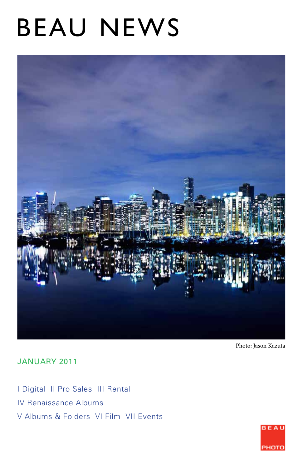# BEAU NEWS



Photo: Jason Kazuta

JANUARY 2011

I Digital II Pro Sales III Rental IV Renaissance Albums V Albums & Folders VI Film VII Events

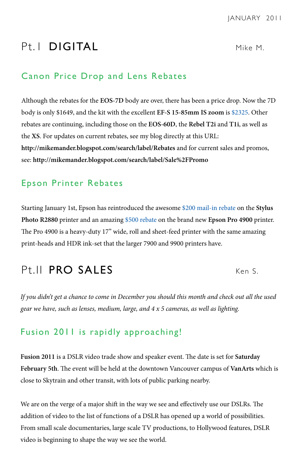# Pt. I **DIGITAL** Mike M.

## Canon Price Drop and Lens Rebates

Although the rebates for the **EOS-7D** body are over, there has been a price drop. Now the 7D body is only \$1649, and the kit with the excellent **EF-S 15-85mm IS zoom** is \$2325. Other rebates are continuing, including those on the **EOS-60D**, the **Rebel T2i** and **T1i**, as well as the **XS**. For updates on current rebates, see my blog directly at this URL: **http://mikemander.blogspot.com/search/label/Rebates** and for current sales and promos, see: **http://mikemander.blogspot.com/search/label/Sale%2FPromo**

# Epson Printer Rebates

Starting January 1st, Epson has reintroduced the awesome \$200 mail-in rebate on the **Stylus Photo R2880** printer and an amazing \$500 rebate on the brand new **Epson Pro 4900** printer. The Pro 4900 is a heavy-duty 17" wide, roll and sheet-feed printer with the same amazing print-heads and HDR ink-set that the larger 7900 and 9900 printers have.

# Pt.II PRO SALES Ken S

*If you didn't get a chance to come in December you should this month and check out all the used gear we have, such as lenses, medium, large, and 4 x 5 cameras, as well as lighting.*

# Fusion 2011 is rapidly approaching!

**Fusion 2011** is a DSLR video trade show and speaker event. The date is set for **Saturday February 5th**. The event will be held at the downtown Vancouver campus of **VanArts** which is close to Skytrain and other transit, with lots of public parking nearby.

We are on the verge of a major shift in the way we see and effectively use our DSLRs. The addition of video to the list of functions of a DSLR has opened up a world of possibilities. From small scale documentaries, large scale TV productions, to Hollywood features, DSLR video is beginning to shape the way we see the world.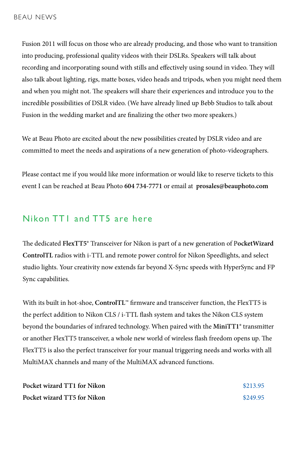Fusion 2011 will focus on those who are already producing, and those who want to transition into producing, professional quality videos with their DSLRs. Speakers will talk about recording and incorporating sound with stills and effectively using sound in video. They will also talk about lighting, rigs, matte boxes, video heads and tripods, when you might need them and when you might not. The speakers will share their experiences and introduce you to the incredible possibilities of DSLR video. (We have already lined up Bebb Studios to talk about Fusion in the wedding market and are finalizing the other two more speakers.)

We at Beau Photo are excited about the new possibilities created by DSLR video and are committed to meet the needs and aspirations of a new generation of photo-videographers.

Please contact me if you would like more information or would like to reserve tickets to this event I can be reached at Beau Photo **604 734-7771** or email at **prosales@beauphoto.com**

# Nikon TT1 and TT5 are here

The dedicated **FlexTT5**® Transceiver for Nikon is part of a new generation of P**ocketWizard ControlTL** radios with i-TTL and remote power control for Nikon Speedlights, and select studio lights. Your creativity now extends far beyond X-Sync speeds with HyperSync and FP Sync capabilities.

With its built in hot-shoe, **ControlTL™** firmware and transceiver function, the FlexTT5 is the perfect addition to Nikon CLS / i-TTL flash system and takes the Nikon CLS system beyond the boundaries of infrared technology. When paired with the **MiniTT1®** transmitter or another FlexTT5 transceiver, a whole new world of wireless flash freedom opens up. The FlexTT5 is also the perfect transceiver for your manual triggering needs and works with all MultiMAX channels and many of the MultiMAX advanced functions.

| Pocket wizard TT1 for Nikon | \$213.95 |
|-----------------------------|----------|
| Pocket wizard TT5 for Nikon | \$249.95 |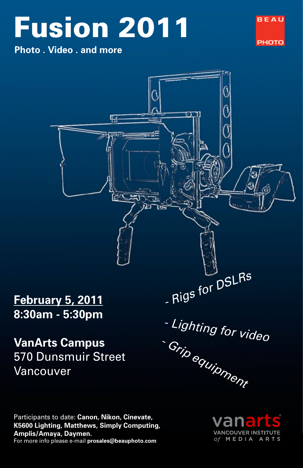# Fusion 2011 FEAV

**Photo . Video . and more**





Participants to date: **Canon, Nikon, Cinevate, K5600 Lighting, Matthews, Simply Computing, Amplis/Amaya, Daymen.** For more info please e-mail **prosales@beauphoto.com**

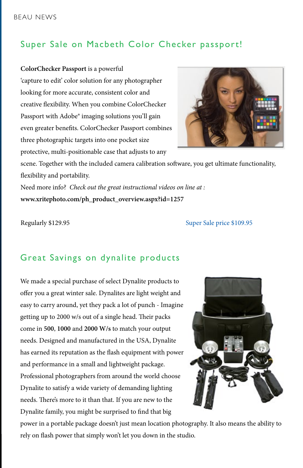# Super Sale on Macbeth Color Checker passport!

**ColorChecker Passport** is a powerful 'capture to edit' color solution for any photographer looking for more accurate, consistent color and creative flexibility. When you combine ColorChecker Passport with Adobe® imaging solutions you'll gain even greater benefits. ColorChecker Passport combines three photographic targets into one pocket size protective, multi-positionable case that adjusts to any



scene. Together with the included camera calibration software, you get ultimate functionality, flexibility and portability.

Need more info? *Check out the great instructional videos on line at :* **www.xritephoto.com/ph\_product\_overview.aspx?id=1257**

Regularly \$129.95 Super Sale price \$109.95

# Great Savings on dynalite products

We made a special purchase of select Dynalite products to offer you a great winter sale. Dynalites are light weight and easy to carry around, yet they pack a lot of punch - Imagine getting up to 2000 w/s out of a single head. Their packs come in **500**, **1000** and **2000 W/s** to match your output needs. Designed and manufactured in the USA, Dynalite has earned its reputation as the flash equipment with power and performance in a small and lightweight package. Professional photographers from around the world choose Dynalite to satisfy a wide variety of demanding lighting needs. There's more to it than that. If you are new to the Dynalite family, you might be surprised to find that big



power in a portable package doesn't just mean location photography. It also means the ability to rely on flash power that simply won't let you down in the studio.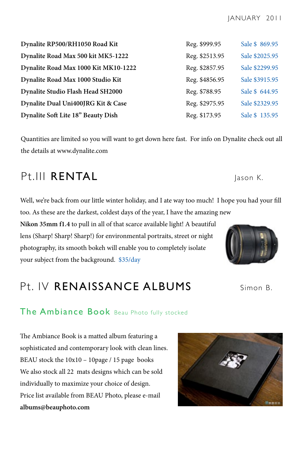| Dynalite RP500/RH1050 Road Kit       | Reg. \$999.95  | Sale \$ 869.95 |
|--------------------------------------|----------------|----------------|
| Dynalite Road Max 500 kit MK5-1222   | Reg. \$2513.95 | Sale \$2025.95 |
| Dynalite Road Max 1000 Kit MK10-1222 | Reg. \$2857.95 | Sale \$2299.95 |
| Dynalite Road Max 1000 Studio Kit    | Reg. \$4856.95 | Sale \$3915.95 |
| Dynalite Studio Flash Head SH2000    | Reg. \$788.95  | Sale \$ 644.95 |
| Dynalite Dual Uni400JRG Kit & Case   | Reg. \$2975.95 | Sale \$2329.95 |
| Dynalite Soft Lite 18" Beauty Dish   | Reg. \$173.95  | Sale \$ 135.95 |

Quantities are limited so you will want to get down here fast. For info on Dynalite check out all the details at www.dynalite.com

# Pt.III RENTAL Jason K.

Well, we're back from our little winter holiday, and I ate way too much! I hope you had your fill too. As these are the darkest, coldest days of the year, I have the amazing new

**Nikon 35mm f1.4** to pull in all of that scarce available light! A beautiful lens (Sharp! Sharp! Sharp!) for environmental portraits, street or night photography, its smooth bokeh will enable you to completely isolate your subject from the background. \$35/day

# Pt. IV RENAISSANCE ALBUMS Simon B.

# The Ambiance Book Beau Photo fully stocked

The Ambiance Book is a matted album featuring a sophisticated and contemporary look with clean lines. BEAU stock the 10x10 – 10page / 15 page books We also stock all 22 mats designs which can be sold individually to maximize your choice of design. Price list available from BEAU Photo, please e-mail **albums@beauphoto.com**





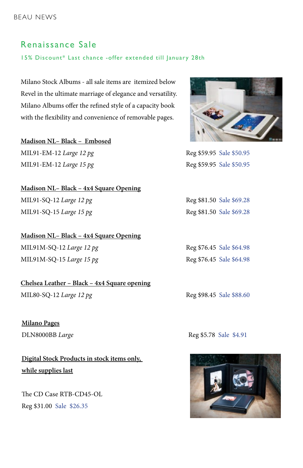### Renaissance Sale

15% Discount\* Last chance -offer extended till January 28th

Milano Stock Albums - all sale items are itemized below Revel in the ultimate marriage of elegance and versatility. Milano Albums offer the refined style of a capacity book with the flexibility and convenience of removable pages.

**Madison NL– Black – Embosed** MIL91-EM-12 *Large 12 pg* Reg \$59.95 Sale \$50.95 MIL91-EM-12 *Large* 15 pg **Reg \$59.95** Sale \$50.95

**Madison NL– Black – 4x4 Square Opening** MIL91-SQ-12 *Large 12 pg* Reg \$81.50 Sale \$69.28 MIL91-SQ-15 *Large 15 pg* Reg \$81.50 Sale \$69.28

**Madison NL– Black – 4x4 Square Opening** MIL91M-SQ-12 *Large 12 pg* Reg \$76.45 Sale \$64.98 MIL91M-SQ-15 *Large* 15 pg<br>Reg \$76.45 Sale \$64.98

**Chelsea Leather – Black – 4x4 Square opening** MIL80-SQ-12 *Large 12 pg* Reg \$98.45 Sale \$88.60

**Milano Pages**

**Digital Stock Products in stock items only, while supplies last**

The CD Case RTB-CD45-OL Reg \$31.00 Sale \$26.35



DLN8000BB *Large* Reg \$5.78 Sale \$4.91

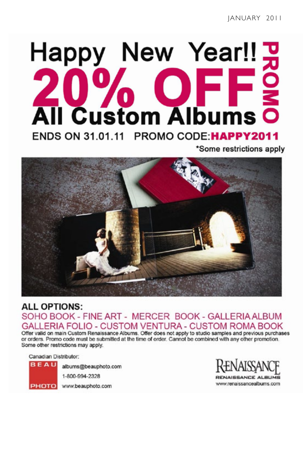# Happy New Year!! **Custom Albums** ENDS ON 31.01.11 PROMO CODE: HAPPY2011

\*Some restrictions apply



# **ALL OPTIONS:** SOHO BOOK - FINE ART - MERCER BOOK - GALLERIA ALBUM LERIA FOLIO - CUSTOM VENTURA - CUSTOM ROMA BOOK

Offer valid on main Custom Renaissance Albums. Offer does not apply to studio samples and previous purchases or orders. Promo code must be submitted at the time of order. Cannot be combined with any other promotion. Some other restrictions may apply.

Canadian Distributor:

**BEAU** 

albums@beauphoto.com

1-800-994-2328

PHOTO www.beauphoto.com

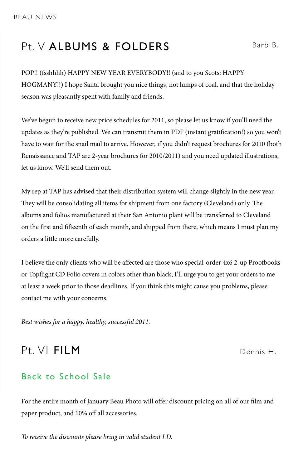# Pt. V ALBUMS & FOLDERS Barb B.

POP!! (fsshhhh) HAPPY NEW YEAR EVERYBODY!! (and to you Scots: HAPPY HOGMANY!!) I hope Santa brought you nice things, not lumps of coal, and that the holiday season was pleasantly spent with family and friends.

We've begun to receive new price schedules for 2011, so please let us know if you'll need the updates as they're published. We can transmit them in PDF (instant gratification!) so you won't have to wait for the snail mail to arrive. However, if you didn't request brochures for 2010 (both Renaissance and TAP are 2-year brochures for 2010/2011) and you need updated illustrations, let us know. We'll send them out.

My rep at TAP has advised that their distribution system will change slightly in the new year. They will be consolidating all items for shipment from one factory (Cleveland) only. The albums and folios manufactured at their San Antonio plant will be transferred to Cleveland on the first and fifteenth of each month, and shipped from there, which means I must plan my orders a little more carefully.

I believe the only clients who will be affected are those who special-order 4x6 2-up Proofbooks or Topflight CD Folio covers in colors other than black; I'll urge you to get your orders to me at least a week prior to those deadlines. If you think this might cause you problems, please contact me with your concerns.

*Best wishes for a happy, healthy, successful 2011.*

# Pt. VI FILM Dennis H.

# Back to School Sale

For the entire month of January Beau Photo will offer discount pricing on all of our film and paper product, and 10% off all accessories.

*To receive the discounts please bring in valid student I.D.*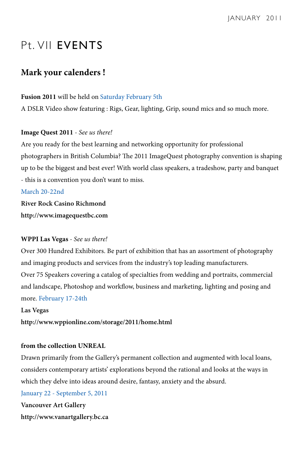# Pt. VII EVENTS

## **Mark your calenders !**

#### **Fusion 2011** will be held on Saturday February 5th

A DSLR Video show featuring : Rigs, Gear, lighting, Grip, sound mics and so much more.

#### **Image Quest 2011** *- See us there!*

Are you ready for the best learning and networking opportunity for professional photographers in British Columbia? The 2011 ImageQuest photography convention is shaping up to be the biggest and best ever! With world class speakers, a tradeshow, party and banquet - this is a convention you don't want to miss.

#### March 20-22nd

**River Rock Casino Richmond http://www.imagequestbc.com**

#### **WPPI Las Vegas** *- See us there!*

Over 300 Hundred Exhibitors. Be part of exhibition that has an assortment of photography and imaging products and services from the industry's top leading manufacturers. Over 75 Speakers covering a catalog of specialties from wedding and portraits, commercial and landscape, Photoshop and workflow, business and marketing, lighting and posing and more. February 17-24th

#### **Las Vegas**

**http://www.wppionline.com/storage/2011/home.html**

#### **from the collection UNREAL**

Drawn primarily from the Gallery's permanent collection and augmented with local loans, considers contemporary artists' explorations beyond the rational and looks at the ways in which they delve into ideas around desire, fantasy, anxiety and the absurd.

January 22 - September 5, 2011

**Vancouver Art Gallery http://www.vanartgallery.bc.ca**